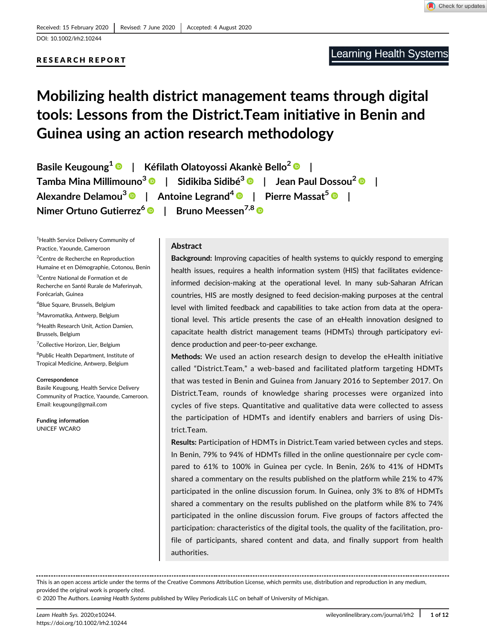RESEARCH REPORT

Check for updates

# Mobilizing health district management teams through digital tools: Lessons from the District.Team initiative in Benin and Guinea using an action research methodology

Basile Keugoung<sup>1</sup> <sup>O</sup> | Kéfilath Olatovossi Akankè Bello<sup>2</sup> <sup>O</sup> | Tamba Mina Millimouno<sup>3</sup> <sup>D</sup> | Sidikiba Sidibé<sup>3</sup> <sup>D</sup> | Jean Paul Dossou<sup>2</sup> <sup>D</sup> | Alexandre Delamou<sup>3</sup>  $\bullet$  | Antoine Legrand<sup>4</sup>  $\bullet$  | Pierre Massat<sup>5</sup>  $\bullet$  | Nimer Ortuno Gutierrez<sup>6</sup> D | Bruno Meessen<sup>7,8</sup> D

1 Health Service Delivery Community of Practice, Yaounde, Cameroon

<sup>2</sup> Centre de Recherche en Reproduction Humaine et en Démographie, Cotonou, Benin <sup>3</sup>Centre National de Formation et de

Recherche en Santé Rurale de Maferinyah, Forécariah, Guinea

4 Blue Square, Brussels, Belgium

5 Mavromatika, Antwerp, Belgium

6 Health Research Unit, Action Damien, Brussels, Belgium

<sup>7</sup>Collective Horizon, Lier, Belgium

<sup>8</sup>Public Health Department, Institute of Tropical Medicine, Antwerp, Belgium

#### Correspondence

Basile Keugoung, Health Service Delivery Community of Practice, Yaounde, Cameroon. Email: [keugoung@gmail.com](mailto:keugoung@gmail.com)

Funding information UNICEF WCARO

# Abstract

Background: Improving capacities of health systems to quickly respond to emerging health issues, requires a health information system (HIS) that facilitates evidenceinformed decision-making at the operational level. In many sub-Saharan African countries, HIS are mostly designed to feed decision-making purposes at the central level with limited feedback and capabilities to take action from data at the operational level. This article presents the case of an eHealth innovation designed to capacitate health district management teams (HDMTs) through participatory evidence production and peer-to-peer exchange.

Methods: We used an action research design to develop the eHealth initiative called "District.Team," a web-based and facilitated platform targeting HDMTs that was tested in Benin and Guinea from January 2016 to September 2017. On District.Team, rounds of knowledge sharing processes were organized into cycles of five steps. Quantitative and qualitative data were collected to assess the participation of HDMTs and identify enablers and barriers of using District.Team.

Results: Participation of HDMTs in District.Team varied between cycles and steps. In Benin, 79% to 94% of HDMTs filled in the online questionnaire per cycle compared to 61% to 100% in Guinea per cycle. In Benin, 26% to 41% of HDMTs shared a commentary on the results published on the platform while 21% to 47% participated in the online discussion forum. In Guinea, only 3% to 8% of HDMTs shared a commentary on the results published on the platform while 8% to 74% participated in the online discussion forum. Five groups of factors affected the participation: characteristics of the digital tools, the quality of the facilitation, profile of participants, shared content and data, and finally support from health authorities.

This is an open access article under the terms of the [Creative Commons Attribution](http://creativecommons.org/licenses/by/4.0/) License, which permits use, distribution and reproduction in any medium, provided the original work is properly cited.

© 2020 The Authors. Learning Health Systems published by Wiley Periodicals LLC on behalf of University of Michigan.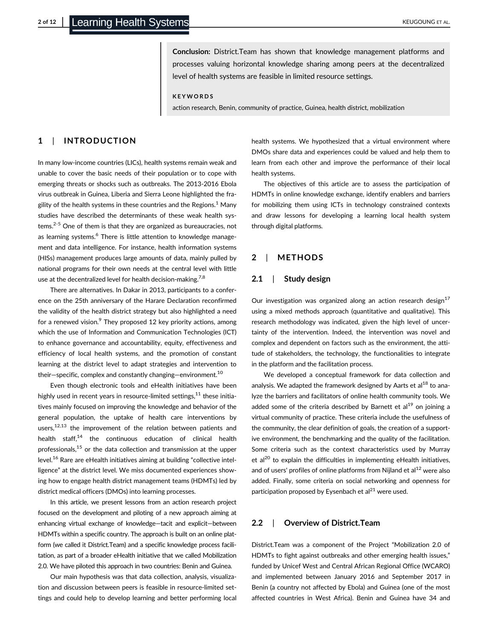Conclusion: District.Team has shown that knowledge management platforms and processes valuing horizontal knowledge sharing among peers at the decentralized level of health systems are feasible in limited resource settings.

#### KEYWORDS

action research, Benin, community of practice, Guinea, health district, mobilization

# 1 | INTRODUCTION

In many low-income countries (LICs), health systems remain weak and unable to cover the basic needs of their population or to cope with emerging threats or shocks such as outbreaks. The 2013-2016 Ebola virus outbreak in Guinea, Liberia and Sierra Leone highlighted the fragility of the health systems in these countries and the Regions. $<sup>1</sup>$  Many</sup> studies have described the determinants of these weak health systems.2-5 One of them is that they are organized as bureaucracies, not as learning systems.<sup>6</sup> There is little attention to knowledge management and data intelligence. For instance, health information systems (HISs) management produces large amounts of data, mainly pulled by national programs for their own needs at the central level with little use at the decentralized level for health decision-making.<sup>7,8</sup>

There are alternatives. In Dakar in 2013, participants to a conference on the 25th anniversary of the Harare Declaration reconfirmed the validity of the health district strategy but also highlighted a need for a renewed vision. $9$  They proposed 12 key priority actions, among which the use of Information and Communication Technologies (ICT) to enhance governance and accountability, equity, effectiveness and efficiency of local health systems, and the promotion of constant learning at the district level to adapt strategies and intervention to their–specific, complex and constantly changing–environment.<sup>10</sup>

Even though electronic tools and eHealth initiatives have been highly used in recent years in resource-limited settings, $^{11}$  these initiatives mainly focused on improving the knowledge and behavior of the general population, the uptake of health care interventions by users, $12,13$  the improvement of the relation between patients and health staff, $14$  the continuous education of clinical health professionals,<sup>15</sup> or the data collection and transmission at the upper level.<sup>16</sup> Rare are eHealth initiatives aiming at building "collective intelligence" at the district level. We miss documented experiences showing how to engage health district management teams (HDMTs) led by district medical officers (DMOs) into learning processes.

In this article, we present lessons from an action research project focused on the development and piloting of a new approach aiming at enhancing virtual exchange of knowledge—tacit and explicit—between HDMTs within a specific country. The approach is built on an online platform (we called it District.Team) and a specific knowledge process facilitation, as part of a broader eHealth initiative that we called Mobilization 2.0. We have piloted this approach in two countries: Benin and Guinea.

Our main hypothesis was that data collection, analysis, visualization and discussion between peers is feasible in resource-limited settings and could help to develop learning and better performing local health systems. We hypothesized that a virtual environment where DMOs share data and experiences could be valued and help them to learn from each other and improve the performance of their local health systems.

The objectives of this article are to assess the participation of HDMTs in online knowledge exchange, identify enablers and barriers for mobilizing them using ICTs in technology constrained contexts and draw lessons for developing a learning local health system through digital platforms.

# 2 | METHODS

#### 2.1 | Study design

Our investigation was organized along an action research design<sup>17</sup> using a mixed methods approach (quantitative and qualitative). This research methodology was indicated, given the high level of uncertainty of the intervention. Indeed, the intervention was novel and complex and dependent on factors such as the environment, the attitude of stakeholders, the technology, the functionalities to integrate in the platform and the facilitation process.

We developed a conceptual framework for data collection and analysis. We adapted the framework designed by Aarts et al $^{18}$  to analyze the barriers and facilitators of online health community tools. We added some of the criteria described by Barnett et al $19$  on joining a virtual community of practice. These criteria include the usefulness of the community, the clear definition of goals, the creation of a supportive environment, the benchmarking and the quality of the facilitation. Some criteria such as the context characteristics used by Murray et al<sup>20</sup> to explain the difficulties in implementing eHealth initiatives, and of users' profiles of online platforms from Nijland et  $al<sup>12</sup>$  were also added. Finally, some criteria on social networking and openness for participation proposed by Eysenbach et al $^{21}$  were used.

#### 2.2 | Overview of District.Team

District.Team was a component of the Project "Mobilization 2.0 of HDMTs to fight against outbreaks and other emerging health issues," funded by Unicef West and Central African Regional Office (WCARO) and implemented between January 2016 and September 2017 in Benin (a country not affected by Ebola) and Guinea (one of the most affected countries in West Africa). Benin and Guinea have 34 and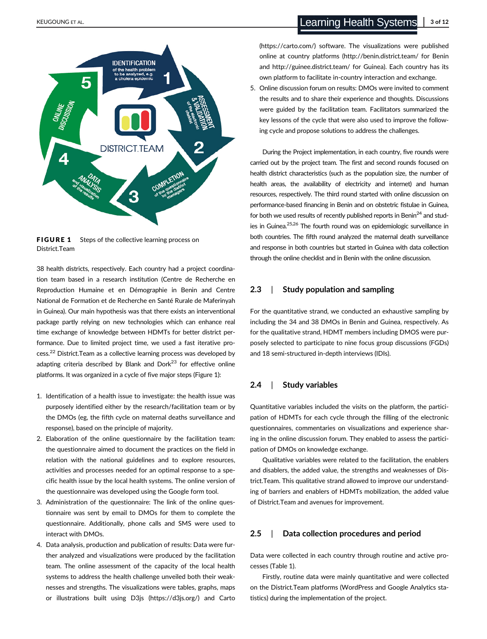

FIGURE 1 Steps of the collective learning process on District.Team

38 health districts, respectively. Each country had a project coordination team based in a research institution (Centre de Recherche en Reproduction Humaine et en Démographie in Benin and Centre National de Formation et de Recherche en Santé Rurale de Maferinyah in Guinea). Our main hypothesis was that there exists an interventional package partly relying on new technologies which can enhance real time exchange of knowledge between HDMTs for better district performance. Due to limited project time, we used a fast iterative process.22 District.Team as a collective learning process was developed by adapting criteria described by Blank and Dork $^{23}$  for effective online platforms. It was organized in a cycle of five major steps (Figure 1):

- 1. Identification of a health issue to investigate: the health issue was purposely identified either by the research/facilitation team or by the DMOs (eg, the fifth cycle on maternal deaths surveillance and response), based on the principle of majority.
- 2. Elaboration of the online questionnaire by the facilitation team: the questionnaire aimed to document the practices on the field in relation with the national guidelines and to explore resources, activities and processes needed for an optimal response to a specific health issue by the local health systems. The online version of the questionnaire was developed using the Google form tool.
- 3. Administration of the questionnaire: The link of the online questionnaire was sent by email to DMOs for them to complete the questionnaire. Additionally, phone calls and SMS were used to interact with DMOs.
- 4. Data analysis, production and publication of results: Data were further analyzed and visualizations were produced by the facilitation team. The online assessment of the capacity of the local health systems to address the health challenge unveiled both their weaknesses and strengths. The visualizations were tables, graphs, maps or illustrations built using D3js ([https://d3js.org/\)](https://d3js.org/) and Carto

[\(https://carto.com/](https://carto.com/)) software. The visualizations were published online at country platforms (<http://benin.district.team/> for Benin and<http://guinee.district.team/> for Guinea). Each country has its own platform to facilitate in-country interaction and exchange.

5. Online discussion forum on results: DMOs were invited to comment the results and to share their experience and thoughts. Discussions were guided by the facilitation team. Facilitators summarized the key lessons of the cycle that were also used to improve the following cycle and propose solutions to address the challenges.

During the Project implementation, in each country, five rounds were carried out by the project team. The first and second rounds focused on health district characteristics (such as the population size, the number of health areas, the availability of electricity and internet) and human resources, respectively. The third round started with online discussion on performance-based financing in Benin and on obstetric fistulae in Guinea, for both we used results of recently published reports in Benin<sup>24</sup> and studies in Guinea.<sup>25,26</sup> The fourth round was on epidemiologic surveillance in both countries. The fifth round analyzed the maternal death surveillance and response in both countries but started in Guinea with data collection through the online checklist and in Benin with the online discussion.

# 2.3 | Study population and sampling

For the quantitative strand, we conducted an exhaustive sampling by including the 34 and 38 DMOs in Benin and Guinea, respectively. As for the qualitative strand, HDMT members including DMOS were purposely selected to participate to nine focus group discussions (FGDs) and 18 semi-structured in-depth interviews (IDIs).

#### 2.4 | Study variables

Quantitative variables included the visits on the platform, the participation of HDMTs for each cycle through the filling of the electronic questionnaires, commentaries on visualizations and experience sharing in the online discussion forum. They enabled to assess the participation of DMOs on knowledge exchange.

Qualitative variables were related to the facilitation, the enablers and disablers, the added value, the strengths and weaknesses of District.Team. This qualitative strand allowed to improve our understanding of barriers and enablers of HDMTs mobilization, the added value of District.Team and avenues for improvement.

# 2.5 | Data collection procedures and period

Data were collected in each country through routine and active processes (Table 1).

Firstly, routine data were mainly quantitative and were collected on the District.Team platforms (WordPress and Google Analytics statistics) during the implementation of the project.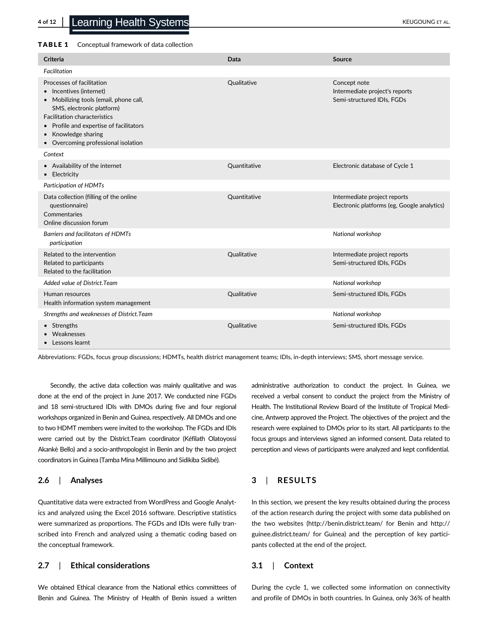#### TABLE 1 Conceptual framework of data collection

| Criteria                                                                                                                                                                                                                                                                                    | Data                | Source                                                                       |
|---------------------------------------------------------------------------------------------------------------------------------------------------------------------------------------------------------------------------------------------------------------------------------------------|---------------------|------------------------------------------------------------------------------|
| Facilitation                                                                                                                                                                                                                                                                                |                     |                                                                              |
| Processes of facilitation<br>Incentives (internet)<br>Mobilizing tools (email, phone call,<br>$\bullet$<br>SMS, electronic platform)<br><b>Facilitation characteristics</b><br>Profile and expertise of facilitators<br>Knowledge sharing<br>$\bullet$<br>Overcoming professional isolation | Qualitative         | Concept note<br>Intermediate project's reports<br>Semi-structured IDIs, FGDs |
| Context                                                                                                                                                                                                                                                                                     |                     |                                                                              |
| • Availability of the internet<br>• Electricity                                                                                                                                                                                                                                             | <b>Ouantitative</b> | Electronic database of Cycle 1                                               |
| <b>Participation of HDMTs</b>                                                                                                                                                                                                                                                               |                     |                                                                              |
| Data collection (filling of the online<br>questionnaire)<br>Commentaries<br>Online discussion forum                                                                                                                                                                                         | Quantitative        | Intermediate project reports<br>Electronic platforms (eg, Google analytics)  |
| Barriers and facilitators of HDMTs<br>participation                                                                                                                                                                                                                                         |                     | National workshop                                                            |
| Related to the intervention<br>Related to participants<br>Related to the facilitation                                                                                                                                                                                                       | <b>Oualitative</b>  | Intermediate project reports<br>Semi-structured IDIs, FGDs                   |
| Added value of District. Team                                                                                                                                                                                                                                                               |                     | National workshop                                                            |
| Human resources<br>Health information system management                                                                                                                                                                                                                                     | Qualitative         | Semi-structured IDIs, FGDs                                                   |
| Strengths and weaknesses of District. Team                                                                                                                                                                                                                                                  |                     | National workshop                                                            |
| • Strengths<br>Weaknesses<br>Lessons learnt                                                                                                                                                                                                                                                 | Qualitative         | Semi-structured IDIs, FGDs                                                   |

Abbreviations: FGDs, focus group discussions; HDMTs, health district management teams; IDIs, in-depth interviews; SMS, short message service.

Secondly, the active data collection was mainly qualitative and was done at the end of the project in June 2017. We conducted nine FGDs and 18 semi-structured IDIs with DMOs during five and four regional workshops organized in Benin and Guinea, respectively. All DMOs and one to two HDMT members were invited to the workshop. The FGDs and IDIs were carried out by the District.Team coordinator (Kéfilath Olatoyossi Akankè Bello) and a socio-anthropologist in Benin and by the two project coordinators in Guinea (Tamba Mina Millimouno and Sidikiba Sidibé).

# 2.6 | Analyses

Quantitative data were extracted from WordPress and Google Analytics and analyzed using the Excel 2016 software. Descriptive statistics were summarized as proportions. The FGDs and IDIs were fully transcribed into French and analyzed using a thematic coding based on the conceptual framework.

# 2.7 | Ethical considerations

We obtained Ethical clearance from the National ethics committees of Benin and Guinea. The Ministry of Health of Benin issued a written

administrative authorization to conduct the project. In Guinea, we received a verbal consent to conduct the project from the Ministry of Health. The Institutional Review Board of the Institute of Tropical Medicine, Antwerp approved the Project. The objectives of the project and the research were explained to DMOs prior to its start. All participants to the focus groups and interviews signed an informed consent. Data related to perception and views of participants were analyzed and kept confidential.

# 3 | RESULTS

In this section, we present the key results obtained during the process of the action research during the project with some data published on the two websites [\(http://benin.district.team/](http://benin.district.team/) for Benin and [http://](http://guinee.district.team/) [guinee.district.team/](http://guinee.district.team/) for Guinea) and the perception of key participants collected at the end of the project.

### 3.1 | Context

During the cycle 1, we collected some information on connectivity and profile of DMOs in both countries. In Guinea, only 36% of health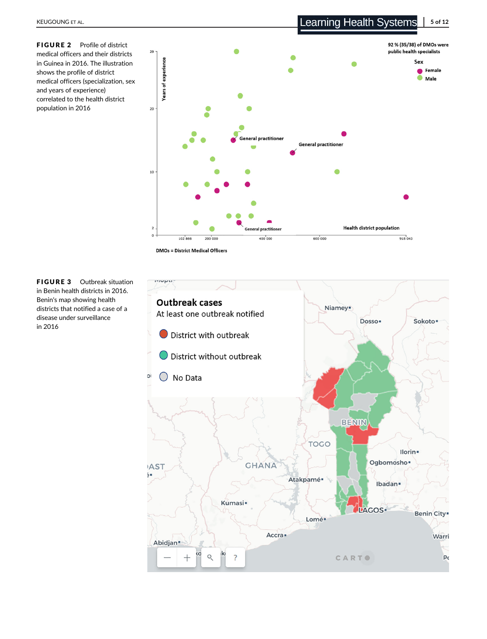FIGURE 2 Profile of district medical officers and their districts in Guinea in 2016. The illustration shows the profile of district medical officers (specialization, sex and years of experience) correlated to the health district population in 2016



**DMOs = District Medical Officers** 

FIGURE 3 Outbreak situation in Benin health districts in 2016. Benin's map showing health districts that notified a case of a disease under surveillance in 2016

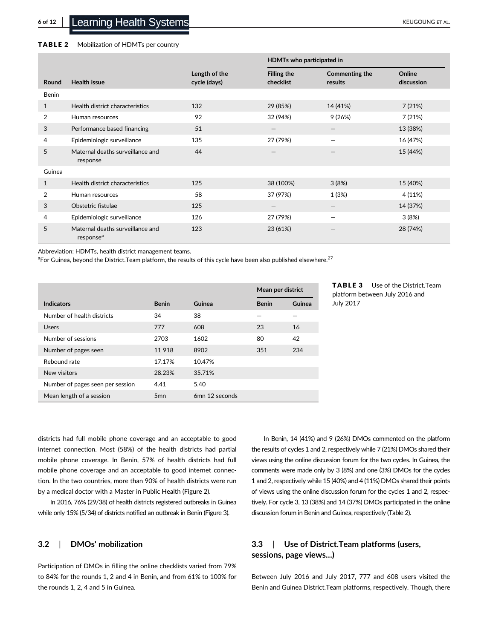#### TABLE 2 Mobilization of HDMTs per country

|              |                                                           |                               | HDMTs who participated in       |                                 |                      |
|--------------|-----------------------------------------------------------|-------------------------------|---------------------------------|---------------------------------|----------------------|
| Round        | <b>Health issue</b>                                       | Length of the<br>cycle (days) | <b>Filling the</b><br>checklist | Commenting the<br>results       | Online<br>discussion |
| Benin        |                                                           |                               |                                 |                                 |                      |
| 1            | Health district characteristics                           | 132                           | 29 (85%)                        | 14 (41%)                        | 7(21%)               |
| 2            | Human resources                                           | 92                            | 32 (94%)                        | 9(26%)                          | 7(21%)               |
| 3            | Performance based financing                               | 51                            |                                 |                                 | 13 (38%)             |
| 4            | Epidemiologic surveillance                                | 135                           | 27 (79%)                        |                                 | 16 (47%)             |
| 5            | Maternal deaths surveillance and<br>response              | 44                            |                                 |                                 | 15 (44%)             |
| Guinea       |                                                           |                               |                                 |                                 |                      |
| $\mathbf{1}$ | Health district characteristics                           | 125                           | 38 (100%)                       | 3(8%)                           | 15 (40%)             |
| 2            | Human resources                                           | 58                            | 37 (97%)                        | 1(3%)                           | 4 (11%)              |
| 3            | Obstetric fistulae                                        | 125                           | $\qquad \qquad -$               | $\hspace{0.1mm}-\hspace{0.1mm}$ | 14 (37%)             |
| 4            | Epidemiologic surveillance                                | 126                           | 27 (79%)                        |                                 | 3(8%)                |
| 5            | Maternal deaths surveillance and<br>response <sup>a</sup> | 123                           | 23 (61%)                        |                                 | 28 (74%)             |

Abbreviation: HDMTs, health district management teams.

 ${}^{a}$ For Guinea, beyond the District.Team platform, the results of this cycle have been also published elsewhere.<sup>27</sup>

|                                  |                 |                | Mean per district |        |
|----------------------------------|-----------------|----------------|-------------------|--------|
| <b>Indicators</b>                | <b>Benin</b>    | Guinea         | <b>Benin</b>      | Guinea |
| Number of health districts       | 34              | 38             |                   |        |
| <b>Users</b>                     | 777             | 608            | 23                | 16     |
| Number of sessions               | 2703            | 1602           | 80                | 42     |
| Number of pages seen             | 11918           | 8902           | 351               | 234    |
| Rebound rate                     | 17.17%          | 10.47%         |                   |        |
| New visitors                     | 28.23%          | 35.71%         |                   |        |
| Number of pages seen per session | 4.41            | 5.40           |                   |        |
| Mean length of a session         | 5 <sub>mn</sub> | 6mn 12 seconds |                   |        |

TABLE 3 Use of the District.Team platform between July 2016 and

districts had full mobile phone coverage and an acceptable to good internet connection. Most (58%) of the health districts had partial mobile phone coverage. In Benin, 57% of health districts had full mobile phone coverage and an acceptable to good internet connection. In the two countries, more than 90% of health districts were run by a medical doctor with a Master in Public Health (Figure 2).

In 2016, 76% (29/38) of health districts registered outbreaks in Guinea while only 15% (5/34) of districts notified an outbreak in Benin (Figure 3).

# 3.2 | DMOs' mobilization

Participation of DMOs in filling the online checklists varied from 79% to 84% for the rounds 1, 2 and 4 in Benin, and from 61% to 100% for the rounds 1, 2, 4 and 5 in Guinea.

In Benin, 14 (41%) and 9 (26%) DMOs commented on the platform the results of cycles 1 and 2, respectively while 7 (21%) DMOs shared their views using the online discussion forum for the two cycles. In Guinea, the comments were made only by 3 (8%) and one (3%) DMOs for the cycles 1 and 2, respectively while 15 (40%) and 4 (11%) DMOs shared their points of views using the online discussion forum for the cycles 1 and 2, respectively. For cycle 3, 13 (38%) and 14 (37%) DMOs participated in the online discussion forum in Benin and Guinea, respectively (Table 2).

# 3.3 | Use of District.Team platforms (users, sessions, page views…)

Between July 2016 and July 2017, 777 and 608 users visited the Benin and Guinea District.Team platforms, respectively. Though, there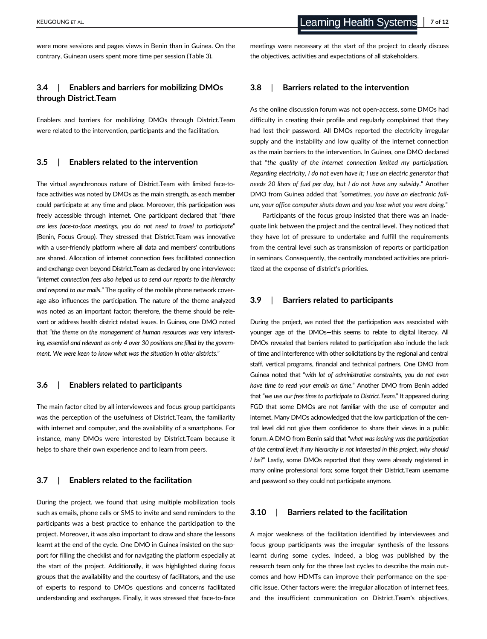were more sessions and pages views in Benin than in Guinea. On the contrary, Guinean users spent more time per session (Table 3).

# 3.4 | Enablers and barriers for mobilizing DMOs through District.Team

Enablers and barriers for mobilizing DMOs through District.Team were related to the intervention, participants and the facilitation.

#### 3.5 | Enablers related to the intervention

The virtual asynchronous nature of District.Team with limited face-toface activities was noted by DMOs as the main strength, as each member could participate at any time and place. Moreover, this participation was freely accessible through internet. One participant declared that "there are less face-to-face meetings, you do not need to travel to participate" (Benin, Focus Group). They stressed that District.Team was innovative with a user-friendly platform where all data and members' contributions are shared. Allocation of internet connection fees facilitated connection and exchange even beyond District.Team as declared by one interviewee: "Internet connection fees also helped us to send our reports to the hierarchy and respond to our mails." The quality of the mobile phone network coverage also influences the participation. The nature of the theme analyzed was noted as an important factor; therefore, the theme should be relevant or address health district related issues. In Guinea, one DMO noted that "the theme on the management of human resources was very interesting, essential and relevant as only 4 over 30 positions are filled by the government. We were keen to know what was the situation in other districts."

#### 3.6 | Enablers related to participants

The main factor cited by all interviewees and focus group participants was the perception of the usefulness of District.Team, the familiarity with internet and computer, and the availability of a smartphone. For instance, many DMOs were interested by District.Team because it helps to share their own experience and to learn from peers.

#### 3.7 | Enablers related to the facilitation

During the project, we found that using multiple mobilization tools such as emails, phone calls or SMS to invite and send reminders to the participants was a best practice to enhance the participation to the project. Moreover, it was also important to draw and share the lessons learnt at the end of the cycle. One DMO in Guinea insisted on the support for filling the checklist and for navigating the platform especially at the start of the project. Additionally, it was highlighted during focus groups that the availability and the courtesy of facilitators, and the use of experts to respond to DMOs questions and concerns facilitated understanding and exchanges. Finally, it was stressed that face-to-face meetings were necessary at the start of the project to clearly discuss the objectives, activities and expectations of all stakeholders.

#### 3.8 | Barriers related to the intervention

As the online discussion forum was not open-access, some DMOs had difficulty in creating their profile and regularly complained that they had lost their password. All DMOs reported the electricity irregular supply and the instability and low quality of the internet connection as the main barriers to the intervention. In Guinea, one DMO declared that "the quality of the internet connection limited my participation. Regarding electricity, I do not even have it; I use an electric generator that needs 20 liters of fuel per day, but I do not have any subsidy." Another DMO from Guinea added that "sometimes, you have an electronic failure, your office computer shuts down and you lose what you were doing."

Participants of the focus group insisted that there was an inadequate link between the project and the central level. They noticed that they have lot of pressure to undertake and fulfill the requirements from the central level such as transmission of reports or participation in seminars. Consequently, the centrally mandated activities are prioritized at the expense of district's priorities.

#### 3.9 | Barriers related to participants

During the project, we noted that the participation was associated with younger age of the DMOs—this seems to relate to digital literacy. All DMOs revealed that barriers related to participation also include the lack of time and interference with other solicitations by the regional and central staff, vertical programs, financial and technical partners. One DMO from Guinea noted that "with lot of administrative constraints, you do not even have time to read your emails on time." Another DMO from Benin added that "we use our free time to participate to District.Team." It appeared during FGD that some DMOs are not familiar with the use of computer and internet. Many DMOs acknowledged that the low participation of the central level did not give them confidence to share their views in a public forum. A DMO from Benin said that "what was lacking was the participation of the central level; if my hierarchy is not interested in this project, why should I be?" Lastly, some DMOs reported that they were already registered in many online professional fora; some forgot their District.Team username and password so they could not participate anymore.

#### 3.10 | Barriers related to the facilitation

A major weakness of the facilitation identified by interviewees and focus group participants was the irregular synthesis of the lessons learnt during some cycles. Indeed, a blog was published by the research team only for the three last cycles to describe the main outcomes and how HDMTs can improve their performance on the specific issue. Other factors were: the irregular allocation of internet fees, and the insufficient communication on District.Team's objectives,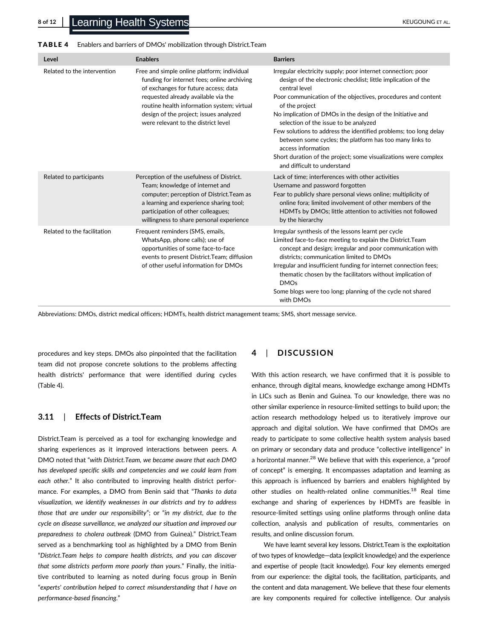| TABLE 4<br>Enablers and barriers of DMOs' mobilization through District.Team |  |
|------------------------------------------------------------------------------|--|
|------------------------------------------------------------------------------|--|

| Level                       | <b>Enablers</b>                                                                                                                                                                                                                                                                                          | <b>Barriers</b>                                                                                                                                                                                                                                                                                                                                                                                                                                                                                                                                                                                |
|-----------------------------|----------------------------------------------------------------------------------------------------------------------------------------------------------------------------------------------------------------------------------------------------------------------------------------------------------|------------------------------------------------------------------------------------------------------------------------------------------------------------------------------------------------------------------------------------------------------------------------------------------------------------------------------------------------------------------------------------------------------------------------------------------------------------------------------------------------------------------------------------------------------------------------------------------------|
| Related to the intervention | Free and simple online platform; individual<br>funding for internet fees; online archiving<br>of exchanges for future access; data<br>requested already available via the<br>routine health information system; virtual<br>design of the project; issues analyzed<br>were relevant to the district level | Irregular electricity supply; poor internet connection; poor<br>design of the electronic checklist; little implication of the<br>central level<br>Poor communication of the objectives, procedures and content<br>of the project<br>No implication of DMOs in the design of the Initiative and<br>selection of the issue to be analyzed<br>Few solutions to address the identified problems; too long delay<br>between some cycles; the platform has too many links to<br>access information<br>Short duration of the project; some visualizations were complex<br>and difficult to understand |
| Related to participants     | Perception of the usefulness of District.<br>Team; knowledge of internet and<br>computer; perception of District. Team as<br>a learning and experience sharing tool;<br>participation of other colleagues;<br>willingness to share personal experience                                                   | Lack of time; interferences with other activities<br>Username and password forgotten<br>Fear to publicly share personal views online; multiplicity of<br>online fora; limited involvement of other members of the<br>HDMTs by DMOs; little attention to activities not followed<br>by the hierarchy                                                                                                                                                                                                                                                                                            |
| Related to the facilitation | Frequent reminders (SMS, emails,<br>WhatsApp, phone calls); use of<br>opportunities of some face-to-face<br>events to present District. Team; diffusion<br>of other useful information for DMOs                                                                                                          | Irregular synthesis of the lessons learnt per cycle<br>Limited face-to-face meeting to explain the District. Team<br>concept and design; irregular and poor communication with<br>districts: communication limited to DMOs<br>Irregular and insufficient funding for internet connection fees;<br>thematic chosen by the facilitators without implication of<br><b>DMOs</b><br>Some blogs were too long; planning of the cycle not shared<br>with DMOs                                                                                                                                         |

Abbreviations: DMOs, district medical officers; HDMTs, health district management teams; SMS, short message service.

procedures and key steps. DMOs also pinpointed that the facilitation team did not propose concrete solutions to the problems affecting health districts' performance that were identified during cycles (Table 4).

#### 3.11 | Effects of District.Team

District.Team is perceived as a tool for exchanging knowledge and sharing experiences as it improved interactions between peers. A DMO noted that "with District.Team, we became aware that each DMO has developed specific skills and competencies and we could learn from each other." It also contributed to improving health district performance. For examples, a DMO from Benin said that "Thanks to data visualization, we identify weaknesses in our districts and try to address those that are under our responsibility"; or "in my district, due to the cycle on disease surveillance, we analyzed our situation and improved our preparedness to cholera outbreak (DMO from Guinea)." District.Team served as a benchmarking tool as highlighted by a DMO from Benin "District.Team helps to compare health districts, and you can discover that some districts perform more poorly than yours." Finally, the initiative contributed to learning as noted during focus group in Benin "experts' contribution helped to correct misunderstanding that I have on performance-based financing."

#### 4 | DISCUSSION

With this action research, we have confirmed that it is possible to enhance, through digital means, knowledge exchange among HDMTs in LICs such as Benin and Guinea. To our knowledge, there was no other similar experience in resource-limited settings to build upon; the action research methodology helped us to iteratively improve our approach and digital solution. We have confirmed that DMOs are ready to participate to some collective health system analysis based on primary or secondary data and produce "collective intelligence" in a horizontal manner.<sup>28</sup> We believe that with this experience, a "proof of concept" is emerging. It encompasses adaptation and learning as this approach is influenced by barriers and enablers highlighted by other studies on health-related online communities.<sup>18</sup> Real time exchange and sharing of experiences by HDMTs are feasible in resource-limited settings using online platforms through online data collection, analysis and publication of results, commentaries on results, and online discussion forum.

We have learnt several key lessons. District.Team is the exploitation of two types of knowledge—data (explicit knowledge) and the experience and expertise of people (tacit knowledge). Four key elements emerged from our experience: the digital tools, the facilitation, participants, and the content and data management. We believe that these four elements are key components required for collective intelligence. Our analysis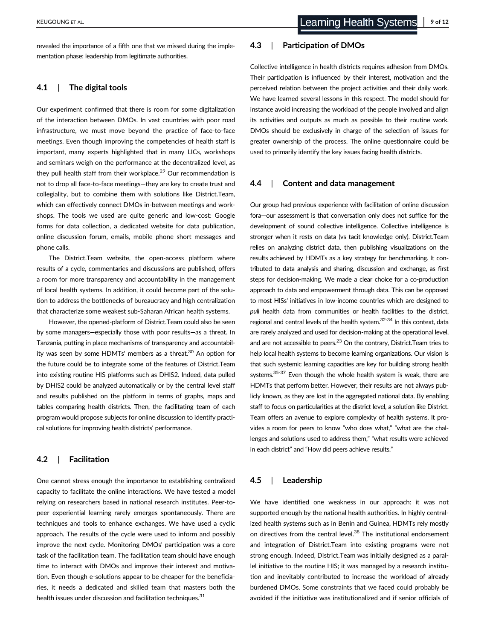revealed the importance of a fifth one that we missed during the implementation phase: leadership from legitimate authorities.

#### 4.1 | The digital tools

Our experiment confirmed that there is room for some digitalization of the interaction between DMOs. In vast countries with poor road infrastructure, we must move beyond the practice of face-to-face meetings. Even though improving the competencies of health staff is important, many experts highlighted that in many LICs, workshops and seminars weigh on the performance at the decentralized level, as they pull health staff from their workplace.<sup>29</sup> Our recommendation is not to drop all face-to-face meetings—they are key to create trust and collegiality, but to combine them with solutions like District.Team, which can effectively connect DMOs in-between meetings and workshops. The tools we used are quite generic and low-cost: Google forms for data collection, a dedicated website for data publication, online discussion forum, emails, mobile phone short messages and phone calls.

The District.Team website, the open-access platform where results of a cycle, commentaries and discussions are published, offers a room for more transparency and accountability in the management of local health systems. In addition, it could become part of the solution to address the bottlenecks of bureaucracy and high centralization that characterize some weakest sub-Saharan African health systems.

However, the opened-platform of District.Team could also be seen by some managers—especially those with poor results—as a threat. In Tanzania, putting in place mechanisms of transparency and accountability was seen by some HDMTs' members as a threat.<sup>30</sup> An option for the future could be to integrate some of the features of District.Team into existing routine HIS platforms such as DHIS2. Indeed, data pulled by DHIS2 could be analyzed automatically or by the central level staff and results published on the platform in terms of graphs, maps and tables comparing health districts. Then, the facilitating team of each program would propose subjects for online discussion to identify practical solutions for improving health districts' performance.

# 4.2 | Facilitation

One cannot stress enough the importance to establishing centralized capacity to facilitate the online interactions. We have tested a model relying on researchers based in national research institutes. Peer-topeer experiential learning rarely emerges spontaneously. There are techniques and tools to enhance exchanges. We have used a cyclic approach. The results of the cycle were used to inform and possibly improve the next cycle. Monitoring DMOs' participation was a core task of the facilitation team. The facilitation team should have enough time to interact with DMOs and improve their interest and motivation. Even though e-solutions appear to be cheaper for the beneficiaries, it needs a dedicated and skilled team that masters both the health issues under discussion and facilitation techniques.<sup>31</sup>

# 4.3 | Participation of DMOs

Collective intelligence in health districts requires adhesion from DMOs. Their participation is influenced by their interest, motivation and the perceived relation between the project activities and their daily work. We have learned several lessons in this respect. The model should for instance avoid increasing the workload of the people involved and align its activities and outputs as much as possible to their routine work. DMOs should be exclusively in charge of the selection of issues for greater ownership of the process. The online questionnaire could be used to primarily identify the key issues facing health districts.

#### 4.4 | Content and data management

Our group had previous experience with facilitation of online discussion fora—our assessment is that conversation only does not suffice for the development of sound collective intelligence. Collective intelligence is stronger when it rests on data (vs tacit knowledge only). District.Team relies on analyzing district data, then publishing visualizations on the results achieved by HDMTs as a key strategy for benchmarking. It contributed to data analysis and sharing, discussion and exchange, as first steps for decision-making. We made a clear choice for a co-production approach to data and empowerment through data. This can be opposed to most HISs' initiatives in low-income countries which are designed to pull health data from communities or health facilities to the district, regional and central levels of the health system.<sup>32-34</sup> In this context, data are rarely analyzed and used for decision-making at the operational level, and are not accessible to peers.<sup>23</sup> On the contrary, District. Team tries to help local health systems to become learning organizations. Our vision is that such systemic learning capacities are key for building strong health systems.<sup>35-37</sup> Even though the whole health system is weak, there are HDMTs that perform better. However, their results are not always publicly known, as they are lost in the aggregated national data. By enabling staff to focus on particularities at the district level, a solution like District. Team offers an avenue to explore complexity of health systems. It provides a room for peers to know "who does what," "what are the challenges and solutions used to address them," "what results were achieved in each district" and "How did peers achieve results."

#### 4.5 | Leadership

We have identified one weakness in our approach: it was not supported enough by the national health authorities. In highly centralized health systems such as in Benin and Guinea, HDMTs rely mostly on directives from the central level.<sup>38</sup> The institutional endorsement and integration of District.Team into existing programs were not strong enough. Indeed, District.Team was initially designed as a parallel initiative to the routine HIS; it was managed by a research institution and inevitably contributed to increase the workload of already burdened DMOs. Some constraints that we faced could probably be avoided if the initiative was institutionalized and if senior officials of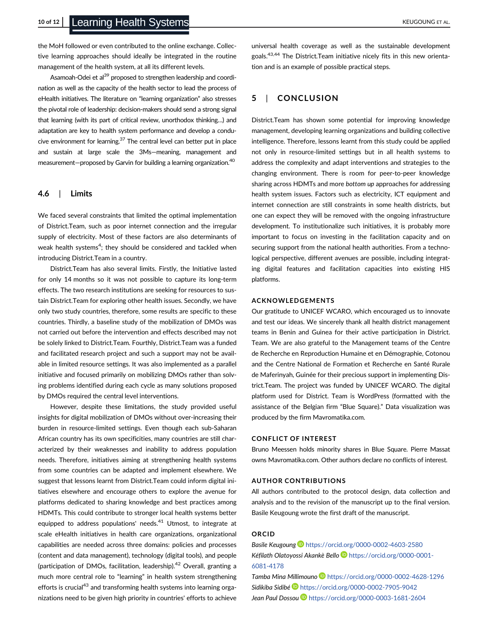the MoH followed or even contributed to the online exchange. Collective learning approaches should ideally be integrated in the routine management of the health system, at all its different levels.

Asamoah-Odei et al<sup>39</sup> proposed to strengthen leadership and coordination as well as the capacity of the health sector to lead the process of eHealth initiatives. The literature on "learning organization" also stresses the pivotal role of leadership: decision-makers should send a strong signal that learning (with its part of critical review, unorthodox thinking…) and adaptation are key to health system performance and develop a conducive environment for learning. $37$  The central level can better put in place and sustain at large scale the 3Ms—meaning, management and measurement—proposed by Garvin for building a learning organization.<sup>40</sup>

### 4.6 | Limits

We faced several constraints that limited the optimal implementation of District.Team, such as poor internet connection and the irregular supply of electricity. Most of these factors are also determinants of weak health systems<sup>4</sup>; they should be considered and tackled when introducing District.Team in a country.

District.Team has also several limits. Firstly, the Initiative lasted for only 14 months so it was not possible to capture its long-term effects. The two research institutions are seeking for resources to sustain District.Team for exploring other health issues. Secondly, we have only two study countries, therefore, some results are specific to these countries. Thirdly, a baseline study of the mobilization of DMOs was not carried out before the intervention and effects described may not be solely linked to District.Team. Fourthly, District.Team was a funded and facilitated research project and such a support may not be available in limited resource settings. It was also implemented as a parallel initiative and focused primarily on mobilizing DMOs rather than solving problems identified during each cycle as many solutions proposed by DMOs required the central level interventions.

However, despite these limitations, the study provided useful insights for digital mobilization of DMOs without over-increasing their burden in resource-limited settings. Even though each sub-Saharan African country has its own specificities, many countries are still characterized by their weaknesses and inability to address population needs. Therefore, initiatives aiming at strengthening health systems from some countries can be adapted and implement elsewhere. We suggest that lessons learnt from District.Team could inform digital initiatives elsewhere and encourage others to explore the avenue for platforms dedicated to sharing knowledge and best practices among HDMTs. This could contribute to stronger local health systems better equipped to address populations' needs.<sup>41</sup> Utmost, to integrate at scale eHealth initiatives in health care organizations, organizational capabilities are needed across three domains: policies and processes (content and data management), technology (digital tools), and people (participation of DMOs, facilitation, leadership). $42$  Overall, granting a much more central role to "learning" in health system strengthening efforts is crucial<sup>43</sup> and transforming health systems into learning organizations need to be given high priority in countries' efforts to achieve

universal health coverage as well as the sustainable development goals.43,44 The District.Team initiative nicely fits in this new orientation and is an example of possible practical steps.

# 5 | CONCLUSION

District.Team has shown some potential for improving knowledge management, developing learning organizations and building collective intelligence. Therefore, lessons learnt from this study could be applied not only in resource-limited settings but in all health systems to address the complexity and adapt interventions and strategies to the changing environment. There is room for peer-to-peer knowledge sharing across HDMTs and more bottom up approaches for addressing health system issues. Factors such as electricity, ICT equipment and internet connection are still constraints in some health districts, but one can expect they will be removed with the ongoing infrastructure development. To institutionalize such initiatives, it is probably more important to focus on investing in the facilitation capacity and on securing support from the national health authorities. From a technological perspective, different avenues are possible, including integrating digital features and facilitation capacities into existing HIS platforms.

#### ACKNOWLEDGEMENTS

Our gratitude to UNICEF WCARO, which encouraged us to innovate and test our ideas. We sincerely thank all health district management teams in Benin and Guinea for their active participation in District. Team. We are also grateful to the Management teams of the Centre de Recherche en Reproduction Humaine et en Démographie, Cotonou and the Centre National de Formation et Recherche en Santé Rurale de Maferinyah, Guinée for their precious support in implementing District.Team. The project was funded by UNICEF WCARO. The digital platform used for District. Team is WordPress (formatted with the assistance of the Belgian firm "Blue Square)." Data visualization was produced by the firm [Mavromatika.com.](http://mavromatika.com)

#### CONFLICT OF INTEREST

Bruno Meessen holds minority shares in Blue Square. Pierre Massat owns Mavromatika.com. Other authors declare no conflicts of interest.

#### AUTHOR CONTRIBUTIONS

All authors contributed to the protocol design, data collection and analysis and to the revision of the manuscript up to the final version. Basile Keugoung wrote the first draft of the manuscript.

# ORCID

Basile Keugoung D<https://orcid.org/0000-0002-4603-2580> Kéfilath Olatoyossi Akankè Bello [https://orcid.org/0000-0001-](https://orcid.org/0000-0001-6081-4178) [6081-4178](https://orcid.org/0000-0001-6081-4178)

Tamba Mina Millimouno D <https://orcid.org/0000-0002-4628-1296> Sidikiba Sidibé <https://orcid.org/0000-0002-7905-9042> Jean Paul Dossou D<https://orcid.org/0000-0003-1681-2604>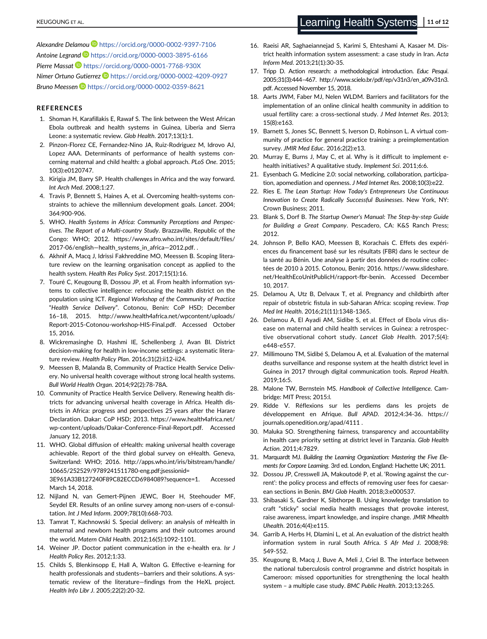Alexandre Delamou D <https://orcid.org/0000-0002-9397-7106> Antoine Legrand **b** <https://orcid.org/0000-0003-3895-6166>

Pierre Massat D<https://orcid.org/0000-0001-7768-930X> Nimer Ortuno Gutierrez D<https://orcid.org/0000-0002-4209-0927> Bruno Meessen D <https://orcid.org/0000-0002-0359-8621>

#### **REFERENCES**

- 1. Shoman H, Karafillakis E, Rawaf S. The link between the West African Ebola outbreak and health systems in Guinea, Liberia and Sierra Leone: a systematic review. Glob Health. 2017;13(1):1.
- 2. Pinzon-Florez CE, Fernandez-Nino JA, Ruiz-Rodriguez M, Idrovo AJ, Lopez AAA. Determinants of performance of health systems concerning maternal and child health: a global approach. PLoS One. 2015; 10(3):e0120747.
- 3. Kirigia JM, Barry SP. Health challenges in Africa and the way forward. Int Arch Med. 2008;1:27.
- 4. Travis P, Bennett S, Haines A, et al. Overcoming health-systems constraints to achieve the millennium development goals. Lancet. 2004; 364:900-906.
- 5. WHO. Health Systems in Africa: Community Perceptions and Perspectives. The Report of a Multi-country Study. Brazzaville, Republic of the Congo: WHO; 2012. [https://www.afro.who.int/sites/default/files/](https://www.afro.who.int/sites/default/files/2017-06/english---health_systems_in_africa---2012.pdf) 2017-06/english-[health\\_systems\\_in\\_africa](https://www.afro.who.int/sites/default/files/2017-06/english---health_systems_in_africa---2012.pdf)-2012.pdf. .
- 6. Akhnif A, Macq J, Idrissi Fakhreddine MO, Meessen B. Scoping literature review on the learning organisation concept as applied to the health system. Health Res Policy Syst. 2017;15(1):16.
- 7. Touré C, Keugoung B, Dossou JP, et al. From health information systems to collective intelligence: refocusing the health district on the population using ICT. Regional Workshop of the Community of Practice "Health Service Delivery". Cotonou, Benin: CoP HSD; December 16–18, 2015. [http://www.health4africa.net/wpcontent/uploads/](http://www.health4africa.net/wpcontent/uploads/Report-2015-Cotonou-workshop-HIS-Final.pdf) [Report-2015-Cotonou-workshop-HIS-Final.pdf.](http://www.health4africa.net/wpcontent/uploads/Report-2015-Cotonou-workshop-HIS-Final.pdf) Accessed October 15, 2016.
- 8. Wickremasinghe D, Hashmi IE, Schellenberg J, Avan BI. District decision-making for health in low-income settings: a systematic literature review. Health Policy Plan. 2016;31(2):ii12-ii24.
- 9. Meessen B, Malanda B, Community of Practice Health Service Delivery. No universal health coverage without strong local health systems. Bull World Health Organ. 2014;92(2):78-78A.
- 10. Community of Practice Health Service Delivery. Renewing health districts for advancing universal health coverage in Africa. Health districts in Africa: progress and perspectives 25 years after the Harare Declaration. Dakar: CoP HSD; 2013. [https://www.health4africa.net/](https://www.health4africa.net/wp-content/uploads/Dakar-Conference-Final-Report.pdf) [wp-content/uploads/Dakar-Conference-Final-Report.pdf.](https://www.health4africa.net/wp-content/uploads/Dakar-Conference-Final-Report.pdf) Accessed January 12, 2018.
- 11. WHO. Global diffusion of eHealth: making universal health coverage achievable. Report of the third global survey on eHealth. Geneva, Switzerland: WHO; 2016. [http://apps.who.int/iris/bitstream/handle/](http://apps.who.int/iris/bitstream/handle/10665/252529/9789241511780-eng.pdf;jsessionid=3E961A33B127240F89C82ECCD6984089?sequence=1) [10665/252529/9789241511780-eng.pdf;jsessionid=](http://apps.who.int/iris/bitstream/handle/10665/252529/9789241511780-eng.pdf;jsessionid=3E961A33B127240F89C82ECCD6984089?sequence=1) [3E961A33B127240F89C82ECCD6984089?sequence=1](http://apps.who.int/iris/bitstream/handle/10665/252529/9789241511780-eng.pdf;jsessionid=3E961A33B127240F89C82ECCD6984089?sequence=1). Accessed March 14, 2018.
- 12. Nijland N, van Gemert-Pijnen JEWC, Boer H, Steehouder MF, Seydel ER. Results of an online survey among non-users of e-consultation. Int J Med Inform. 2009;78(10):668-703.
- 13. Tamrat T, Kachnowski S. Special delivery: an analysis of mHealth in maternal and newborn health programs and their outcomes around the world. Matern Child Health. 2012;16(5):1092-1101.
- 14. Weiner JP. Doctor patient communication in the e-health era. Isr J Health Policy Res. 2012;1:33.
- 15. Childs S, Blenkinsopp E, Hall A, Walton G. Effective e-learning for health professionals and students—barriers and their solutions. A systematic review of the literature—findings from the HeXL project. Health Info Libr J. 2005;22(2):20-32.
- 16. Raeisi AR, Saghaeiannejad S, Karimi S, Ehteshami A, Kasaer M. District health information system assessment: a case study in Iran. Acta Inform Med. 2013;21(1):30-35.
- 17. Tripp D. Action research: a methodological introduction. Educ Pesqui. 2005;31(3):444–467. [http://www.scielo.br/pdf/ep/v31n3/en\\_a09v31n3.](http://www.scielo.br/pdf/ep/v31n3/en_a09v31n3.pdf) [pdf](http://www.scielo.br/pdf/ep/v31n3/en_a09v31n3.pdf). Accessed November 15, 2018.
- 18. Aarts JWM, Faber MJ, Nelen WLDM. Barriers and facilitators for the implementation of an online clinical health community in addition to usual fertility care: a cross-sectional study. J Med Internet Res. 2013; 15(8):e163.
- 19. Barnett S, Jones SC, Bennett S, Iverson D, Robinson L. A virtual community of practice for general practice training: a preimplementation survey. JMIR Med Educ. 2016;2(2):e13.
- 20. Murray E, Burns J, May C, et al. Why is it difficult to implement ehealth initiatives? A qualitative study. Implement Sci. 2011;6:6.
- 21. Eysenbach G. Medicine 2.0: social networking, collaboration, participation, apomediation and openness. J Med Internet Res. 2008;10(3):e22.
- 22. Ries E. The Lean Startup: How Today's Entrepreneurs Use Continuous Innovation to Create Radically Successful Businesses. New York, NY: Crown Business; 2011.
- 23. Blank S, Dorf B. The Startup Owner's Manual: The Step-by-step Guide for Building a Great Company. Pescadero, CA: K&S Ranch Press; 2012.
- 24. Johnson P, Bello KAO, Meessen B, Korachais C. Effets des expériences du financement basé sur les résultats (FBR) dans le secteur de la santé au Bénin. Une analyse à partir des données de routine collectées de 2010 à 2015. Cotonou, Benin; 2016. [https://www.slideshare.](https://www.slideshare.net/HealthEcoUnitPublicH/rapport-fbr-benin) [net/HealthEcoUnitPublicH/rapport-fbr-benin.](https://www.slideshare.net/HealthEcoUnitPublicH/rapport-fbr-benin) Accessed December 10, 2017.
- 25. Delamou A, Utz B, Delvaux T, et al. Pregnancy and childbirth after repair of obstetric fistula in sub-Saharan Africa: scoping review. Trop Med Int Health. 2016;21(11):1348-1365.
- 26. Delamou A, El Ayadi AM, Sidibe S, et al. Effect of Ebola virus disease on maternal and child health services in Guinea: a retrospective observational cohort study. Lancet Glob Health. 2017;5(4): e448-e557.
- 27. Millimouno TM, Sidibé S, Delamou A, et al. Evaluation of the maternal deaths surveillance and response system at the health district level in Guinea in 2017 through digital communication tools. Reprod Health. 2019;16:5.
- 28. Malone TW, Bernstein MS. Handbook of Collective Intelligence. Cambridge: MIT Press; 2015:l.
- 29. Ridde V. Réflexions sur les perdiems dans les projets de développement en Afrique. Bull APAD. 2012;4:34-36. [https://](https://journals.openedition.org/apad/4111) [journals.openedition.org/apad/4111](https://journals.openedition.org/apad/4111) .
- 30. Maluka SO. Strengthening fairness, transparency and accountability in health care priority setting at district level in Tanzania. Glob Health Action. 2011;4:7829.
- 31. Marquardt MJ. Building the Learning Organization: Mastering the Five Elements for Corpore Learning. 3rd ed. London, England: Hachette UK; 2011.
- 32. Dossou JP, Cresswell JA, Makoutodé P, et al. 'Rowing against the current': the policy process and effects of removing user fees for caesarean sections in Benin. BMJ Glob Health. 2018;3:e000537.
- 33. Shibasaki S, Gardner K, Sibthorpe B. Using knowledge translation to craft "sticky" social media health messages that provoke interest, raise awareness, impart knowledge, and inspire change. JMIR Mhealth Uhealth. 2016;4(4):e115.
- 34. Garrib A, Herbs H, Dlamini L, et al. An evaluation of the district health information system in rural South Africa. S Afr Med J. 2008;98: 549-552.
- 35. Keugoung B, Macq J, Buve A, Meli J, Criel B. The interface between the national tuberculosis control programme and district hospitals in Cameroon: missed opportunities for strengthening the local health system – a multiple case study. BMC Public Health. 2013;13:265.

# KEUGOUNG ET AL. **11 of 12** KEUGOUNG ET AL.